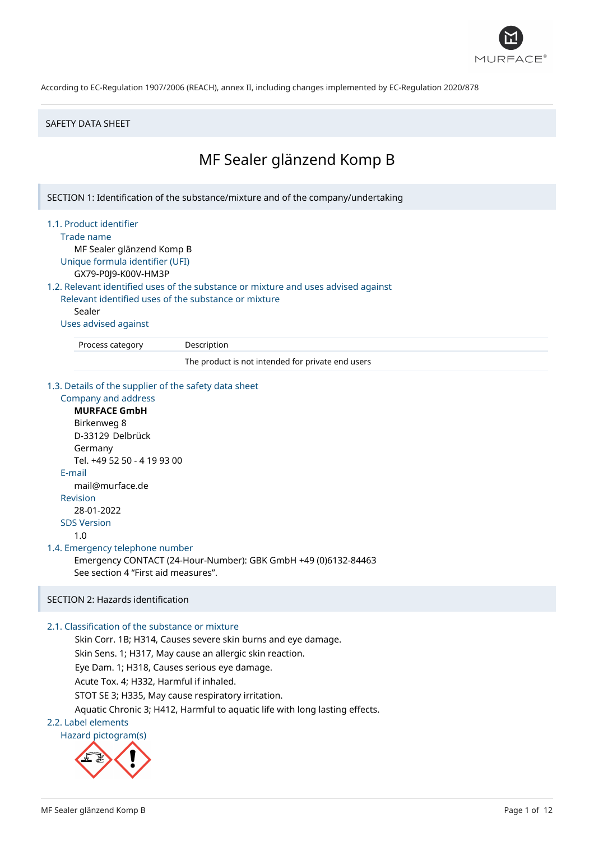

### SAFETY DATA SHEET

# MF Sealer glänzend Komp B

SECTION 1: Identification of the substance/mixture and of the company/undertaking

### 1.1. Product identifier

Trade name

MF Sealer glänzend Komp B Unique formula identifier (UFI)

GX79-P0J9-K00V-HM3P

1.2. Relevant identified uses of the substance or mixture and uses advised against

Relevant identified uses of the substance or mixture Sealer

Uses advised against

Process category Description

The product is not intended for private end users

#### 1.3. Details of the supplier of the safety data sheet

Company and address **MURFACE GmbH** Birkenweg 8 D-33129 Delbrück Germany Tel. +49 52 50 - 4 19 93 00 E-mail mail@murface.de Revision 28-01-2022 SDS Version 1.0 1.4. Emergency telephone number Emergency CONTACT (24-Hour-Number): GBK GmbH +49 (0)6132-84463 See section 4 "First aid measures".

# SECTION 2: Hazards identification

# 2.1. Classification of the substance or mixture

Skin Corr. 1B; H314, Causes severe skin burns and eye damage.

Skin Sens. 1; H317, May cause an allergic skin reaction.

Eye Dam. 1; H318, Causes serious eye damage.

Acute Tox. 4; H332, Harmful if inhaled.

STOT SE 3; H335, May cause respiratory irritation.

Aquatic Chronic 3; H412, Harmful to aquatic life with long lasting effects.

### 2.2. Label elements

Hazard pictogram(s)

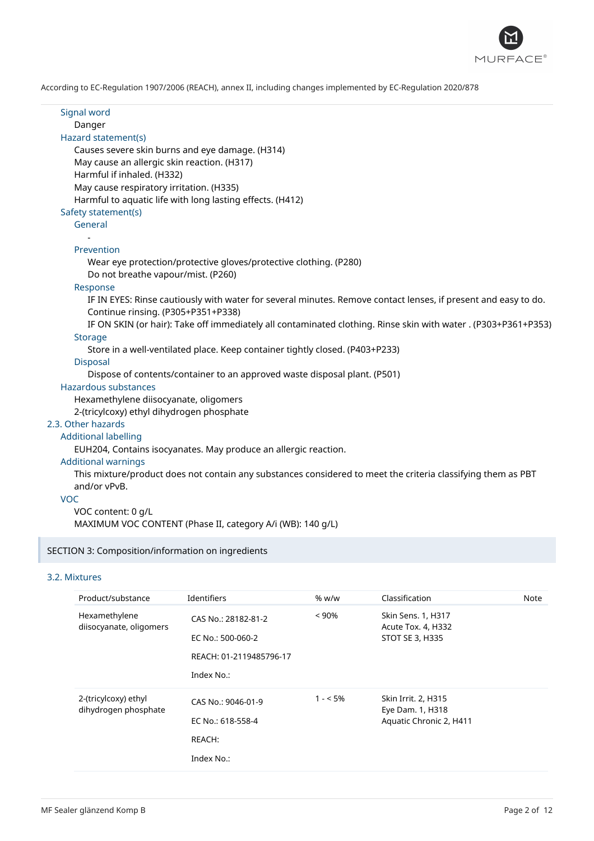

Signal word Danger Hazard statement(s) Causes severe skin burns and eye damage. (H314) May cause an allergic skin reaction. (H317) Harmful if inhaled. (H332) May cause respiratory irritation. (H335) Harmful to aquatic life with long lasting effects. (H412) Safety statement(s) General - Prevention Wear eye protection/protective gloves/protective clothing. (P280) Do not breathe vapour/mist. (P260) Response IF IN EYES: Rinse cautiously with water for several minutes. Remove contact lenses, if present and easy to do. Continue rinsing. (P305+P351+P338) IF ON SKIN (or hair): Take off immediately all contaminated clothing. Rinse skin with water . (P303+P361+P353) **Storage** Store in a well-ventilated place. Keep container tightly closed. (P403+P233) Disposal Dispose of contents/container to an approved waste disposal plant. (P501) Hazardous substances Hexamethylene diisocyanate, oligomers 2-(tricylcoxy) ethyl dihydrogen phosphate 2.3. Other hazards Additional labelling EUH204, Contains isocyanates. May produce an allergic reaction. Additional warnings This mixture/product does not contain any substances considered to meet the criteria classifying them as PBT and/or vPvB. VOC VOC content: 0 g/L MAXIMUM VOC CONTENT (Phase II, category A/i (WB): 140 g/L)

# SECTION 3: Composition/information on ingredients

### 3.2. Mixtures

| Product/substance                            | Identifiers                                                                       | % w/w     | Classification                                                     | Note |
|----------------------------------------------|-----------------------------------------------------------------------------------|-----------|--------------------------------------------------------------------|------|
| Hexamethylene<br>diisocyanate, oligomers     | CAS No.: 28182-81-2<br>EC No.: 500-060-2<br>REACH: 01-2119485796-17<br>Index No.: | $< 90\%$  | Skin Sens. 1, H317<br>Acute Tox. 4, H332<br><b>STOT SE 3, H335</b> |      |
| 2-(tricylcoxy) ethyl<br>dihydrogen phosphate | CAS No.: 9046-01-9<br>EC No.: 618-558-4<br>REACH:<br>Index No.:                   | $1 - 5\%$ | Skin Irrit. 2, H315<br>Eye Dam. 1, H318<br>Aquatic Chronic 2, H411 |      |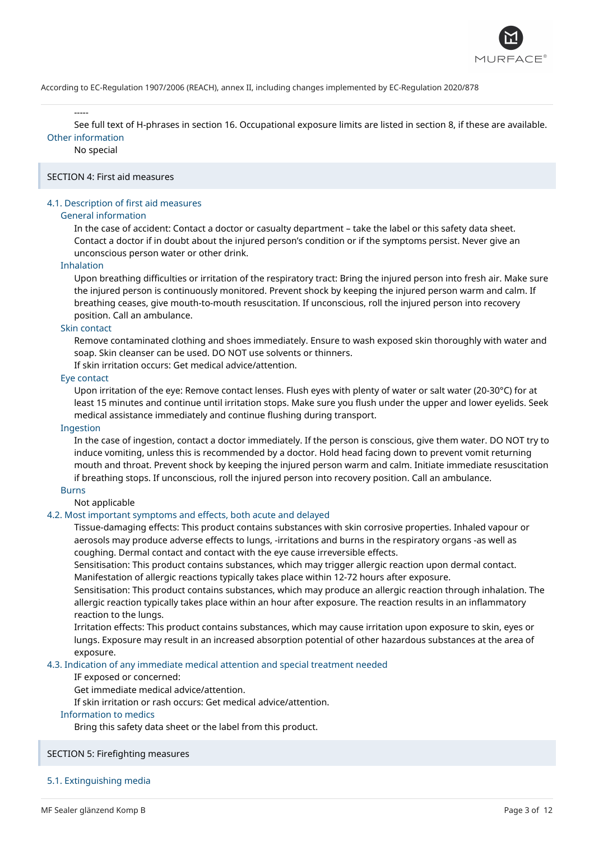

-----

See full text of H-phrases in section 16. Occupational exposure limits are listed in section 8, if these are available. Other information

No special

# SECTION 4: First aid measures

# 4.1. Description of first aid measures

### General information

In the case of accident: Contact a doctor or casualty department – take the label or this safety data sheet. Contact a doctor if in doubt about the injured person's condition or if the symptoms persist. Never give an unconscious person water or other drink.

### Inhalation

Upon breathing difficulties or irritation of the respiratory tract: Bring the injured person into fresh air. Make sure the injured person is continuously monitored. Prevent shock by keeping the injured person warm and calm. If breathing ceases, give mouth-to-mouth resuscitation. If unconscious, roll the injured person into recovery position. Call an ambulance.

### Skin contact

Remove contaminated clothing and shoes immediately. Ensure to wash exposed skin thoroughly with water and soap. Skin cleanser can be used. DO NOT use solvents or thinners.

If skin irritation occurs: Get medical advice/attention.

### Eye contact

Upon irritation of the eye: Remove contact lenses. Flush eyes with plenty of water or salt water (20-30°C) for at least 15 minutes and continue until irritation stops. Make sure you flush under the upper and lower eyelids. Seek medical assistance immediately and continue flushing during transport.

#### Ingestion

In the case of ingestion, contact a doctor immediately. If the person is conscious, give them water. DO NOT try to induce vomiting, unless this is recommended by a doctor. Hold head facing down to prevent vomit returning mouth and throat. Prevent shock by keeping the injured person warm and calm. Initiate immediate resuscitation if breathing stops. If unconscious, roll the injured person into recovery position. Call an ambulance.

### Burns

### Not applicable

### 4.2. Most important symptoms and effects, both acute and delayed

Tissue-damaging effects: This product contains substances with skin corrosive properties. Inhaled vapour or aerosols may produce adverse effects to lungs, -irritations and burns in the respiratory organs -as well as coughing. Dermal contact and contact with the eye cause irreversible effects.

Sensitisation: This product contains substances, which may trigger allergic reaction upon dermal contact. Manifestation of allergic reactions typically takes place within 12-72 hours after exposure.

Sensitisation: This product contains substances, which may produce an allergic reaction through inhalation. The allergic reaction typically takes place within an hour after exposure. The reaction results in an inflammatory reaction to the lungs.

Irritation effects: This product contains substances, which may cause irritation upon exposure to skin, eyes or lungs. Exposure may result in an increased absorption potential of other hazardous substances at the area of exposure.

### 4.3. Indication of any immediate medical attention and special treatment needed

### IF exposed or concerned:

Get immediate medical advice/attention.

If skin irritation or rash occurs: Get medical advice/attention.

### Information to medics

Bring this safety data sheet or the label from this product.

### SECTION 5: Firefighting measures

### 5.1. Extinguishing media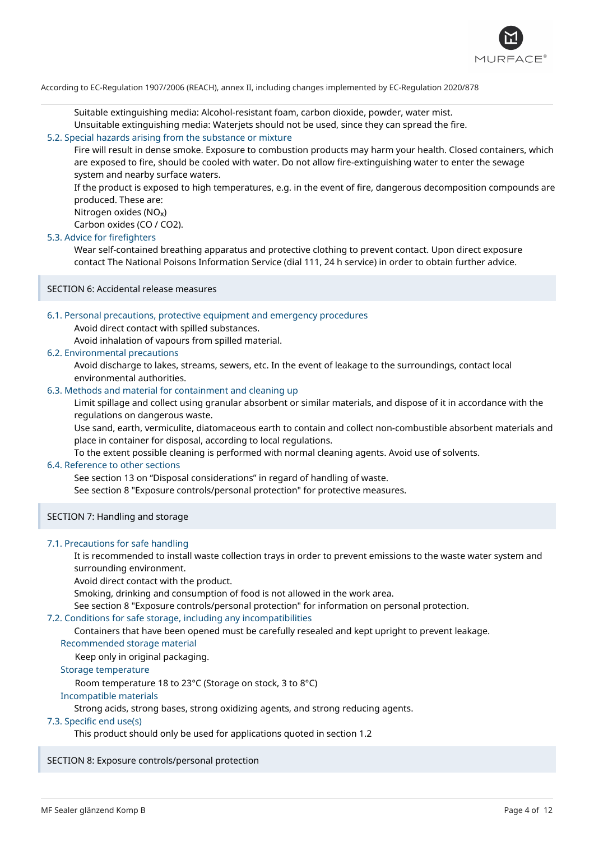

Suitable extinguishing media: Alcohol-resistant foam, carbon dioxide, powder, water mist.

Unsuitable extinguishing media: Waterjets should not be used, since they can spread the fire.

# 5.2. Special hazards arising from the substance or mixture

Fire will result in dense smoke. Exposure to combustion products may harm your health. Closed containers, which are exposed to fire, should be cooled with water. Do not allow fire-extinguishing water to enter the sewage system and nearby surface waters.

If the product is exposed to high temperatures, e.g. in the event of fire, dangerous decomposition compounds are produced. These are:

Nitrogen oxides (NO<sub>x</sub>)

Carbon oxides (CO / CO2).

# 5.3. Advice for firefighters

Wear self-contained breathing apparatus and protective clothing to prevent contact. Upon direct exposure contact The National Poisons Information Service (dial 111, 24 h service) in order to obtain further advice.

SECTION 6: Accidental release measures

### 6.1. Personal precautions, protective equipment and emergency procedures

Avoid direct contact with spilled substances.

Avoid inhalation of vapours from spilled material.

### 6.2. Environmental precautions

Avoid discharge to lakes, streams, sewers, etc. In the event of leakage to the surroundings, contact local environmental authorities.

### 6.3. Methods and material for containment and cleaning up

Limit spillage and collect using granular absorbent or similar materials, and dispose of it in accordance with the regulations on dangerous waste.

Use sand, earth, vermiculite, diatomaceous earth to contain and collect non-combustible absorbent materials and place in container for disposal, according to local regulations.

To the extent possible cleaning is performed with normal cleaning agents. Avoid use of solvents.

# 6.4. Reference to other sections

See section 13 on "Disposal considerations" in regard of handling of waste.

See section 8 "Exposure controls/personal protection" for protective measures.

SECTION 7: Handling and storage

### 7.1. Precautions for safe handling

It is recommended to install waste collection trays in order to prevent emissions to the waste water system and surrounding environment.

Avoid direct contact with the product.

Smoking, drinking and consumption of food is not allowed in the work area.

See section 8 "Exposure controls/personal protection" for information on personal protection.

# 7.2. Conditions for safe storage, including any incompatibilities

Containers that have been opened must be carefully resealed and kept upright to prevent leakage.

### Recommended storage material

Keep only in original packaging.

### Storage temperature

Room temperature 18 to 23°C (Storage on stock, 3 to 8°C)

### Incompatible materials

Strong acids, strong bases, strong oxidizing agents, and strong reducing agents.

### 7.3. Specific end use(s)

This product should only be used for applications quoted in section 1.2

SECTION 8: Exposure controls/personal protection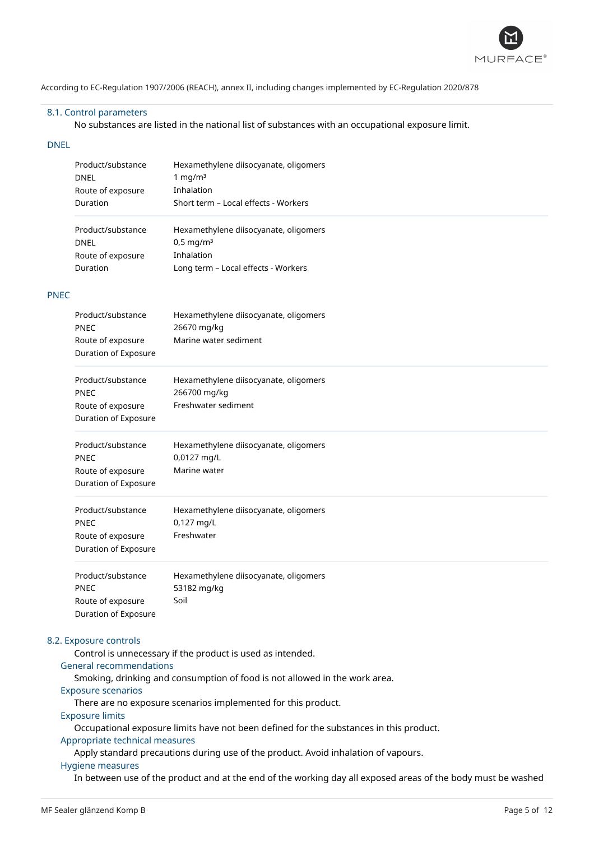

### 8.1. Control parameters

No substances are listed in the national list of substances with an occupational exposure limit.

### DNEL

| Product/substance<br><b>DNEL</b><br>Route of exposure<br>Duration | Hexamethylene diisocyanate, oligomers<br>1 mg/m $3$<br>Inhalation<br>Short term - Local effects - Workers |
|-------------------------------------------------------------------|-----------------------------------------------------------------------------------------------------------|
| Product/substance                                                 | Hexamethylene diisocyanate, oligomers                                                                     |
| <b>DNEL</b>                                                       | $0,5 \,\mathrm{mq/m^3}$                                                                                   |
| Route of exposure                                                 | Inhalation                                                                                                |
| Duration                                                          | Long term - Local effects - Workers                                                                       |

# PNEC

| Product/substance<br><b>PNEC</b><br>Route of exposure<br>Duration of Exposure | Hexamethylene diisocyanate, oligomers<br>26670 mg/kg<br>Marine water sediment |
|-------------------------------------------------------------------------------|-------------------------------------------------------------------------------|
| Product/substance<br><b>PNEC</b><br>Route of exposure<br>Duration of Exposure | Hexamethylene diisocyanate, oligomers<br>266700 mg/kg<br>Freshwater sediment  |
| Product/substance<br><b>PNEC</b><br>Route of exposure<br>Duration of Exposure | Hexamethylene diisocyanate, oligomers<br>0,0127 mg/L<br>Marine water          |
| Product/substance<br><b>PNEC</b><br>Route of exposure<br>Duration of Exposure | Hexamethylene diisocyanate, oligomers<br>0,127 mg/L<br>Freshwater             |
| Product/substance<br>PNEC<br>Route of exposure<br>Duration of Exposure        | Hexamethylene diisocyanate, oligomers<br>53182 mg/kg<br>Soil                  |

### 8.2. Exposure controls

Control is unnecessary if the product is used as intended.

# General recommendations

Smoking, drinking and consumption of food is not allowed in the work area.

### Exposure scenarios

There are no exposure scenarios implemented for this product.

# Exposure limits

Occupational exposure limits have not been defined for the substances in this product.

# Appropriate technical measures

Apply standard precautions during use of the product. Avoid inhalation of vapours.

# Hygiene measures

In between use of the product and at the end of the working day all exposed areas of the body must be washed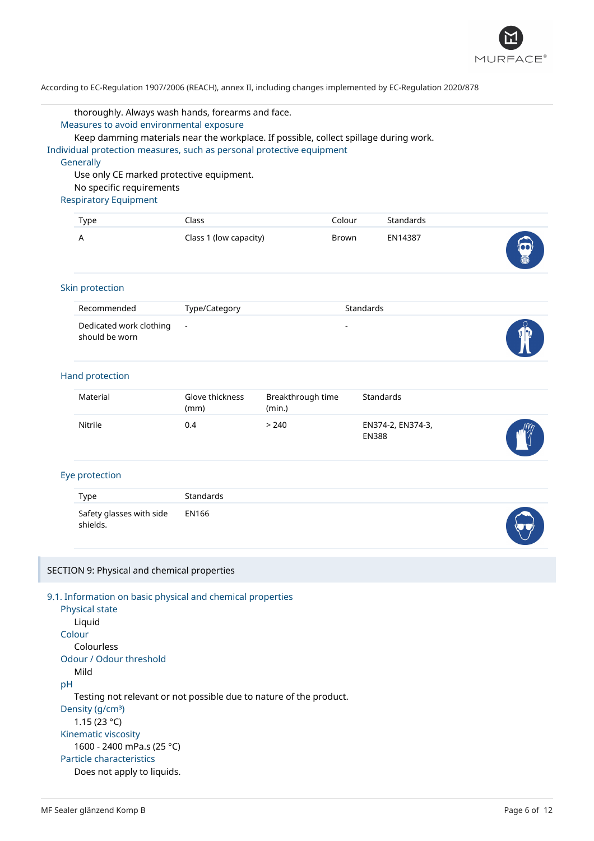

#### thoroughly. Always wash hands, forearms and face.

Measures to avoid environmental exposure

Keep damming materials near the workplace. If possible, collect spillage during work.

Individual protection measures, such as personal protective equipment

#### **Generally**

Use only CE marked protective equipment. No specific requirements

# Respiratory Equipment

| Type | Class                  | Colour | Standards |                                             |
|------|------------------------|--------|-----------|---------------------------------------------|
| A    | Class 1 (low capacity) | Brown  | EN14387   | $\widehat{\omega}$<br>$\blacktriangleright$ |

#### Skin protection

| Recommended                                 | Type/Category | <b>Standards</b>         |         |
|---------------------------------------------|---------------|--------------------------|---------|
| Dedicated work clothing -<br>should be worn |               | $\overline{\phantom{a}}$ | d<br>Πľ |

# Hand protection

| Material | Glove thickness<br>(mm) | Breakthrough time<br>(min.) | Standards                         |            |
|----------|-------------------------|-----------------------------|-----------------------------------|------------|
| Nitrile  | 0.4                     | > 240                       | EN374-2, EN374-3,<br><b>EN388</b> | $\sqrt{m}$ |

# Eye protection

| Type                                       | <b>Standards</b> |   |
|--------------------------------------------|------------------|---|
| Safety glasses with side EN166<br>shields. |                  | J |

### SECTION 9: Physical and chemical properties

```
9.1. Information on basic physical and chemical properties
 Physical state
    Liquid
 Colour
    Colourless
 Odour / Odour threshold
    Mild
pH
    Testing not relevant or not possible due to nature of the product.
 Density (g/cm<sup>3</sup>)
    1.15 (23 °C)
 Kinematic viscosity
    1600 - 2400 mPa.s (25 °C)
 Particle characteristics
    Does not apply to liquids.
```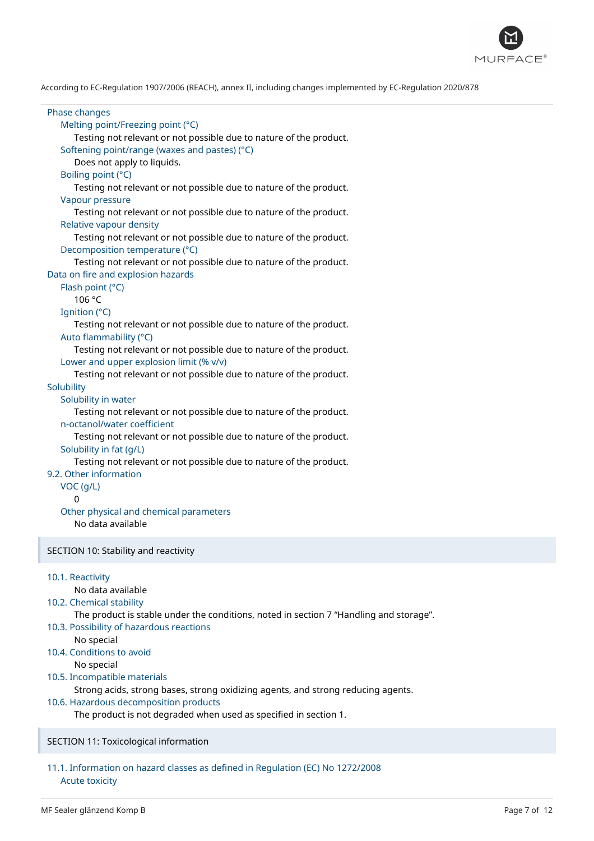

Phase changes Melting point/Freezing point (°C) Testing not relevant or not possible due to nature of the product. Softening point/range (waxes and pastes) (°C) Does not apply to liquids. Boiling point (°C) Testing not relevant or not possible due to nature of the product. Vapour pressure Testing not relevant or not possible due to nature of the product. Relative vapour density Testing not relevant or not possible due to nature of the product. Decomposition temperature (°C) Testing not relevant or not possible due to nature of the product. Data on fire and explosion hazards Flash point (°C) 106 °C Ignition (°C) Testing not relevant or not possible due to nature of the product. Auto flammability (°C) Testing not relevant or not possible due to nature of the product. Lower and upper explosion limit (% v/v) Testing not relevant or not possible due to nature of the product. **Solubility** Solubility in water Testing not relevant or not possible due to nature of the product. n-octanol/water coefficient Testing not relevant or not possible due to nature of the product. Solubility in fat (g/L) Testing not relevant or not possible due to nature of the product. 9.2. Other information VOC (g/L)  $\Omega$ Other physical and chemical parameters No data available SECTION 10: Stability and reactivity 10.1. Reactivity No data available 10.2. Chemical stability The product is stable under the conditions, noted in section 7 "Handling and storage". 10.3. Possibility of hazardous reactions No special 10.4. Conditions to avoid No special 10.5. Incompatible materials Strong acids, strong bases, strong oxidizing agents, and strong reducing agents. 10.6. Hazardous decomposition products The product is not degraded when used as specified in section 1.

# SECTION 11: Toxicological information

# 11.1. Information on hazard classes as defined in Regulation (EC) No 1272/2008 Acute toxicity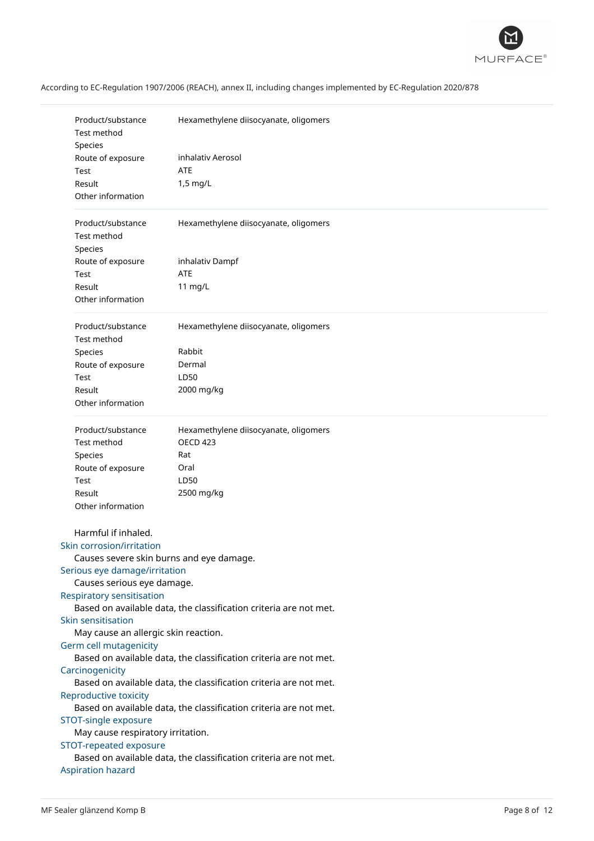

|                   | Product/substance<br><b>Test method</b>                           | Hexamethylene diisocyanate, oligomers                             |  |
|-------------------|-------------------------------------------------------------------|-------------------------------------------------------------------|--|
|                   | Species                                                           |                                                                   |  |
|                   | Route of exposure                                                 | inhalativ Aerosol                                                 |  |
|                   | Test                                                              | <b>ATE</b>                                                        |  |
|                   | Result                                                            | 1,5 mg/L                                                          |  |
| Other information |                                                                   |                                                                   |  |
|                   |                                                                   |                                                                   |  |
|                   | Product/substance                                                 | Hexamethylene diisocyanate, oligomers                             |  |
|                   | <b>Test method</b>                                                |                                                                   |  |
|                   | Species                                                           |                                                                   |  |
|                   | Route of exposure                                                 | inhalativ Dampf                                                   |  |
|                   | Test                                                              | <b>ATE</b>                                                        |  |
|                   | Result                                                            | 11 mg/L                                                           |  |
|                   | Other information                                                 |                                                                   |  |
|                   | Product/substance<br>Test method                                  | Hexamethylene diisocyanate, oligomers                             |  |
|                   | Species                                                           | Rabbit                                                            |  |
|                   | Route of exposure                                                 | Dermal                                                            |  |
|                   | Test                                                              | LD50                                                              |  |
|                   | Result                                                            | 2000 mg/kg                                                        |  |
|                   | Other information                                                 |                                                                   |  |
|                   |                                                                   |                                                                   |  |
|                   | Product/substance                                                 | Hexamethylene diisocyanate, oligomers                             |  |
|                   | Test method                                                       | <b>OECD 423</b>                                                   |  |
|                   | Species                                                           | Rat                                                               |  |
|                   | Route of exposure                                                 | Oral                                                              |  |
|                   | Test                                                              | LD50                                                              |  |
|                   | Result                                                            | 2500 mg/kg                                                        |  |
|                   | Other information                                                 |                                                                   |  |
|                   |                                                                   |                                                                   |  |
|                   | Harmful if inhaled.                                               |                                                                   |  |
|                   | Skin corrosion/irritation                                         |                                                                   |  |
|                   | Causes severe skin burns and eye damage.                          |                                                                   |  |
|                   | Serious eye damage/irritation                                     |                                                                   |  |
|                   | Causes serious eye damage.                                        |                                                                   |  |
|                   | <b>Respiratory sensitisation</b>                                  |                                                                   |  |
|                   |                                                                   | Based on available data, the classification criteria are not met. |  |
|                   | Skin sensitisation                                                |                                                                   |  |
|                   | May cause an allergic skin reaction.                              |                                                                   |  |
|                   | Germ cell mutagenicity                                            |                                                                   |  |
|                   | Based on available data, the classification criteria are not met. |                                                                   |  |
|                   | Carcinogenicity                                                   |                                                                   |  |
|                   |                                                                   | Based on available data, the classification criteria are not met. |  |
|                   | Reproductive toxicity                                             |                                                                   |  |
|                   | Based on available data, the classification criteria are not met. |                                                                   |  |
|                   | STOT-single exposure                                              |                                                                   |  |
|                   | May cause respiratory irritation.                                 |                                                                   |  |
|                   | STOT-repeated exposure                                            |                                                                   |  |
|                   |                                                                   | Based on available data, the classification criteria are not met. |  |
|                   | <b>Aspiration hazard</b>                                          |                                                                   |  |
|                   |                                                                   |                                                                   |  |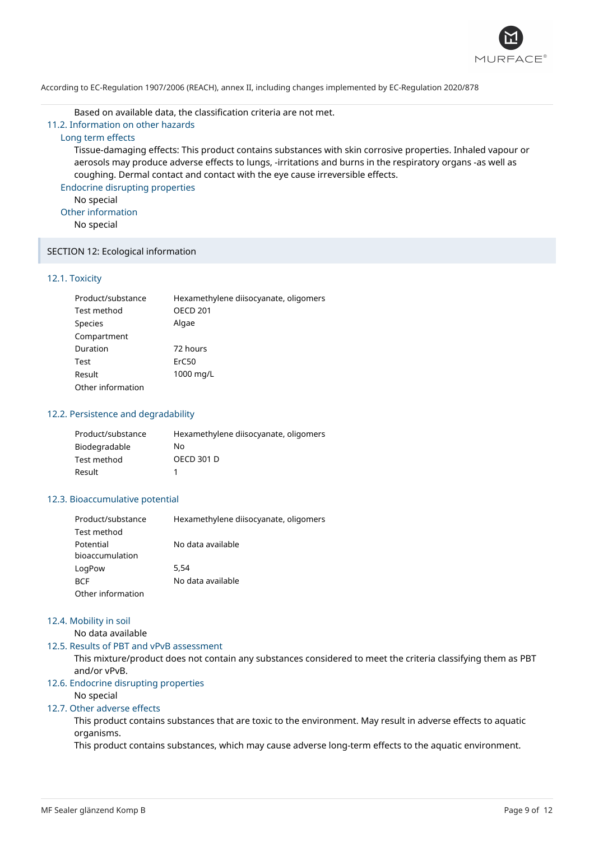

Based on available data, the classification criteria are not met.

11.2. Information on other hazards

# Long term effects

Tissue-damaging effects: This product contains substances with skin corrosive properties. Inhaled vapour or aerosols may produce adverse effects to lungs, -irritations and burns in the respiratory organs -as well as coughing. Dermal contact and contact with the eye cause irreversible effects.

Endocrine disrupting properties

No special

Other information

No special

### SECTION 12: Ecological information

# 12.1. Toxicity

| Product/substance | Hexamethylene diisocyanate, oligomers |
|-------------------|---------------------------------------|
| Test method       | <b>OECD 201</b>                       |
| <b>Species</b>    | Algae                                 |
| Compartment       |                                       |
| Duration          | 72 hours                              |
| Test              | ErC50                                 |
| Result            | 1000 mg/L                             |
| Other information |                                       |

### 12.2. Persistence and degradability

| Product/substance | Hexamethylene diisocyanate, oligomers |
|-------------------|---------------------------------------|
| Biodegradable     | N٥                                    |
| Test method       | <b>OECD 301 D</b>                     |
| Result            |                                       |

# 12.3. Bioaccumulative potential

| Product/substance | Hexamethylene diisocyanate, oligomers |
|-------------------|---------------------------------------|
| Test method       |                                       |
| Potential         | No data available                     |
| bioaccumulation   |                                       |
| LogPow            | 5.54                                  |
| <b>BCF</b>        | No data available                     |
| Other information |                                       |

## 12.4. Mobility in soil

No data available

12.5. Results of PBT and vPvB assessment

This mixture/product does not contain any substances considered to meet the criteria classifying them as PBT and/or vPvB.

# 12.6. Endocrine disrupting properties

# No special

# 12.7. Other adverse effects

This product contains substances that are toxic to the environment. May result in adverse effects to aquatic organisms.

This product contains substances, which may cause adverse long-term effects to the aquatic environment.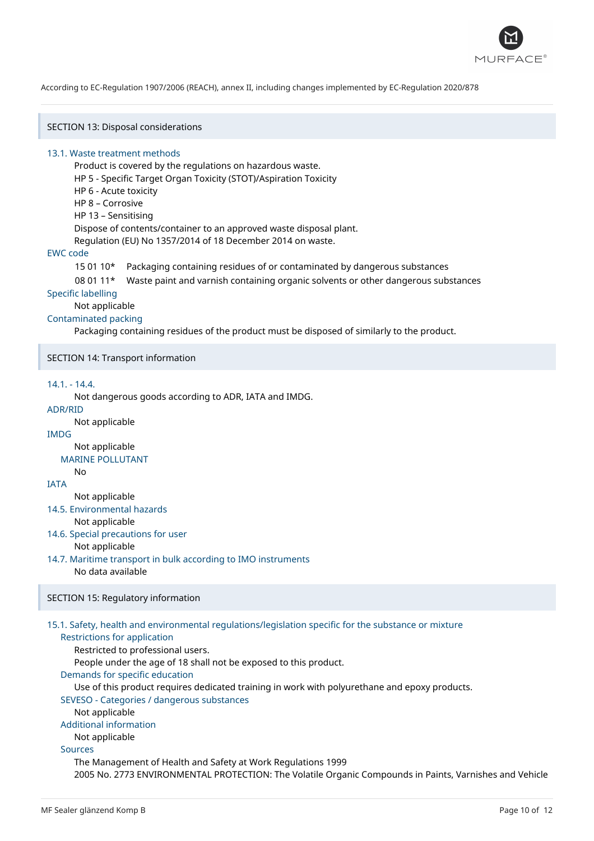

SECTION 13: Disposal considerations

### 13.1. Waste treatment methods

Product is covered by the regulations on hazardous waste. HP 5 - Specific Target Organ Toxicity (STOT)/Aspiration Toxicity HP 6 - Acute toxicity HP 8 – Corrosive HP 13 – Sensitising Dispose of contents/container to an approved waste disposal plant. Regulation (EU) No 1357/2014 of 18 December 2014 on waste.

### EWC code

15 01 10\* Packaging containing residues of or contaminated by dangerous substances

08 01 11\* Waste paint and varnish containing organic solvents or other dangerous substances

### Specific labelling

Not applicable

### Contaminated packing

Packaging containing residues of the product must be disposed of similarly to the product.

SECTION 14: Transport information

### 14.1. - 14.4.

Not dangerous goods according to ADR, IATA and IMDG.

ADR/RID

No

Not applicable

# IMDG

Not applicable

# MARINE POLLUTANT

IATA

Not applicable

14.5. Environmental hazards

Not applicable

- 14.6. Special precautions for user Not applicable
- 14.7. Maritime transport in bulk according to IMO instruments No data available

# SECTION 15: Regulatory information

# 15.1. Safety, health and environmental regulations/legislation specific for the substance or mixture

# Restrictions for application

Restricted to professional users.

People under the age of 18 shall not be exposed to this product.

Demands for specific education

Use of this product requires dedicated training in work with polyurethane and epoxy products.

# SEVESO - Categories / dangerous substances

Not applicable

# Additional information

Not applicable

# Sources

The Management of Health and Safety at Work Regulations 1999 2005 No. 2773 ENVIRONMENTAL PROTECTION: The Volatile Organic Compounds in Paints, Varnishes and Vehicle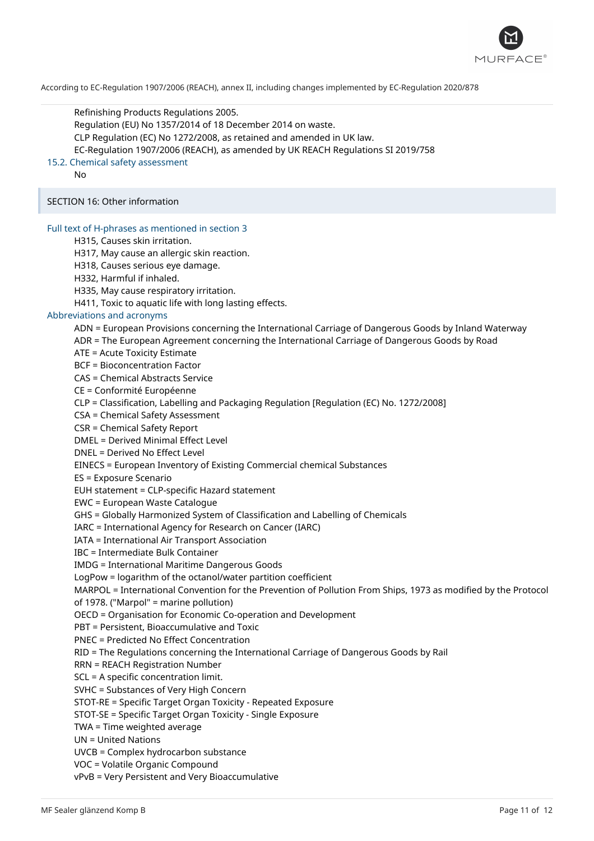

Refinishing Products Regulations 2005. Regulation (EU) No 1357/2014 of 18 December 2014 on waste. CLP Regulation (EC) No 1272/2008, as retained and amended in UK law. EC-Regulation 1907/2006 (REACH), as amended by UK REACH Regulations SI 2019/758 15.2. Chemical safety assessment

No

SECTION 16: Other information

### Full text of H-phrases as mentioned in section 3

H315, Causes skin irritation.

H317, May cause an allergic skin reaction.

H318, Causes serious eye damage.

H332, Harmful if inhaled.

H335, May cause respiratory irritation.

H411, Toxic to aquatic life with long lasting effects.

#### Abbreviations and acronyms

ADN = European Provisions concerning the International Carriage of Dangerous Goods by Inland Waterway

ADR = The European Agreement concerning the International Carriage of Dangerous Goods by Road

ATE = Acute Toxicity Estimate

BCF = Bioconcentration Factor

CAS = Chemical Abstracts Service

CE = Conformité Européenne

CLP = Classification, Labelling and Packaging Regulation [Regulation (EC) No. 1272/2008]

CSA = Chemical Safety Assessment

CSR = Chemical Safety Report

DMEL = Derived Minimal Effect Level

DNEL = Derived No Effect Level

EINECS = European Inventory of Existing Commercial chemical Substances

ES = Exposure Scenario

EUH statement = CLP-specific Hazard statement

EWC = European Waste Catalogue

GHS = Globally Harmonized System of Classification and Labelling of Chemicals

IARC = International Agency for Research on Cancer (IARC)

IATA = International Air Transport Association

IBC = Intermediate Bulk Container

IMDG = International Maritime Dangerous Goods

LogPow = logarithm of the octanol/water partition coefficient

MARPOL = International Convention for the Prevention of Pollution From Ships, 1973 as modified by the Protocol of 1978. ("Marpol" = marine pollution)

OECD = Organisation for Economic Co-operation and Development

PBT = Persistent, Bioaccumulative and Toxic

PNEC = Predicted No Effect Concentration

RID = The Regulations concerning the International Carriage of Dangerous Goods by Rail

RRN = REACH Registration Number

SCL = A specific concentration limit.

SVHC = Substances of Very High Concern

STOT-RE = Specific Target Organ Toxicity - Repeated Exposure

STOT-SE = Specific Target Organ Toxicity - Single Exposure

TWA = Time weighted average

UN = United Nations

UVCB = Complex hydrocarbon substance

VOC = Volatile Organic Compound

vPvB = Very Persistent and Very Bioaccumulative